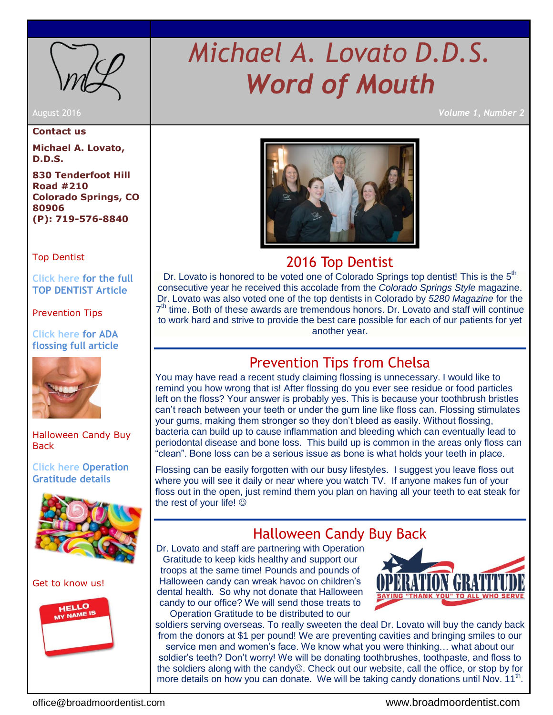<span id="page-0-0"></span>

**Contact us**

**Michael A. Lovato, D.D.S.**

**830 Tenderfoot Hill Road #210 Colorado Springs, CO 80906 (P): 719-576-8840**

[Top Dentist](#page-0-0)

**[Click here for the full](#page-0-0)  [TOP DENTIST Article](http://www.coloradospringsstyle.com/May-June-2015/Top-Dentists-2015/)**

[Prevention Tips](#page-0-1)

**[Click here for ADA](http://www.ada.org/en/press-room/news-releases/2016-archive/august/statement-from-the-american-dental-association-about-interdental-cleaners?source=PromoSpots&medium=ADAHomeRotator&content=Flossing)  [flossing full article](http://www.ada.org/en/press-room/news-releases/2016-archive/august/statement-from-the-american-dental-association-about-interdental-cleaners?source=PromoSpots&medium=ADAHomeRotator&content=Flossing)**



[Halloween Candy Buy](#page-0-2)  **[Back](#page-0-2)** 

**[Click here Operation](https://opgrat.wordpress.com/2013/07/18/halloween-candy-for-the-troops/)  [Gratitude details](https://opgrat.wordpress.com/2013/07/18/halloween-candy-for-the-troops/)**



Get [to know us!](#page-1-0)



# *Michael A. Lovato D.D.S. Word of Mouth*

August 2016 *Volume 1, Number 2*



## 2016 Top Dentist

Dr. Lovato is honored to be voted one of Colorado Springs top dentist! This is the 5<sup>th</sup> consecutive year he received this accolade from the *Colorado Springs Style* magazine. Dr. Lovato was also voted one of the top dentists in Colorado by *5280 Magazine* for the 7<sup>th</sup> time. Both of these awards are tremendous honors. Dr. Lovato and staff will continue to work hard and strive to provide the best care possible for each of our patients for yet another year.

## Prevention Tips from Chelsa

<span id="page-0-1"></span>You may have read a recent study claiming flossing is unnecessary. I would like to remind you how wrong that is! After flossing do you ever see residue or food particles left on the floss? Your answer is probably yes. This is because your toothbrush bristles can't reach between your teeth or under the gum line like floss can. Flossing stimulates your gums, making them stronger so they don't bleed as easily. Without flossing, bacteria can build up to cause inflammation and bleeding which can eventually lead to periodontal disease and bone loss. This build up is common in the areas only floss can "clean". Bone loss can be a serious issue as bone is what holds your teeth in place.

Flossing can be easily forgotten with our busy lifestyles. I suggest you leave floss out where you will see it daily or near where you watch TV. If anyone makes fun of your floss out in the open, just remind them you plan on having all your teeth to eat steak for the rest of your life!

## Halloween Candy Buy Back

<span id="page-0-2"></span>Dr. Lovato and staff are partnering with Operation Gratitude to keep kids healthy and support our troops at the same time! Pounds and pounds of Halloween candy can wreak havoc on children's dental health. So why not donate that Halloween candy to our office? We will send those treats to Operation Gratitude to be distributed to our



soldiers serving overseas. To really sweeten the deal Dr. Lovato will buy the candy back from the donors at \$1 per pound! We are preventing cavities and bringing smiles to our service men and women's face. We know what you were thinking… what about our soldier's teeth? Don't worry! We will be donating toothbrushes, toothpaste, and floss to the soldiers along with the candy<sup>®</sup>. Check out our website, call the office, or stop by for more details on how you can donate. We will be taking candy donations until Nov. 11<sup>th</sup>.